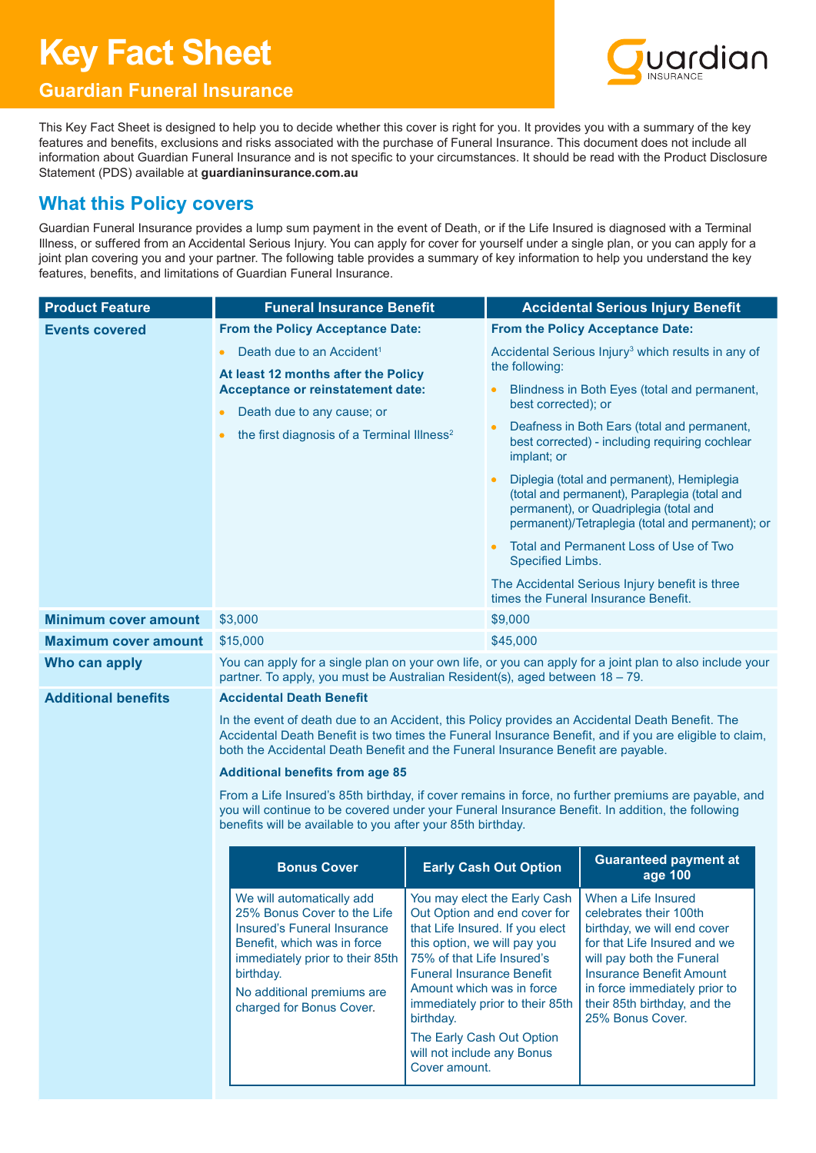# **Key Fact Sheet**

# ardian

# **Guardian Funeral Insurance**

This Key Fact Sheet is designed to help you to decide whether this cover is right for you. It provides you with a summary of the key features and benefits, exclusions and risks associated with the purchase of Funeral Insurance. This document does not include all information about Guardian Funeral Insurance and is not specific to your circumstances. It should be read with the Product Disclosure Statement (PDS) available at **guardianinsurance.com.au**

# **What this Policy covers**

Guardian Funeral Insurance provides a lump sum payment in the event of Death, or if the Life Insured is diagnosed with a Terminal Illness, or suffered from an Accidental Serious Injury. You can apply for cover for yourself under a single plan, or you can apply for a joint plan covering you and your partner. The following table provides a summary of key information to help you understand the key features, benefits, and limitations of Guardian Funeral Insurance.

| <b>Product Feature</b>      | <b>Funeral Insurance Benefit</b>                                                                                                                                                                                                                                                                                                        |                                                                                                                                                                                                                      |                                                                                                                                    | <b>Accidental Serious Injury Benefit</b>                                                                                                                                                                                                                          |  |
|-----------------------------|-----------------------------------------------------------------------------------------------------------------------------------------------------------------------------------------------------------------------------------------------------------------------------------------------------------------------------------------|----------------------------------------------------------------------------------------------------------------------------------------------------------------------------------------------------------------------|------------------------------------------------------------------------------------------------------------------------------------|-------------------------------------------------------------------------------------------------------------------------------------------------------------------------------------------------------------------------------------------------------------------|--|
| <b>Events covered</b>       |                                                                                                                                                                                                                                                                                                                                         | <b>From the Policy Acceptance Date:</b>                                                                                                                                                                              |                                                                                                                                    | <b>From the Policy Acceptance Date:</b>                                                                                                                                                                                                                           |  |
|                             | Death due to an Accident <sup>1</sup><br>$\bullet$<br>At least 12 months after the Policy<br>Acceptance or reinstatement date:<br>Death due to any cause; or<br>the first diagnosis of a Terminal Illness <sup>2</sup><br>$\bullet$                                                                                                     |                                                                                                                                                                                                                      | the following:                                                                                                                     | Accidental Serious Injury <sup>3</sup> which results in any of                                                                                                                                                                                                    |  |
|                             |                                                                                                                                                                                                                                                                                                                                         |                                                                                                                                                                                                                      | best corrected); or                                                                                                                | Blindness in Both Eyes (total and permanent,                                                                                                                                                                                                                      |  |
|                             |                                                                                                                                                                                                                                                                                                                                         |                                                                                                                                                                                                                      | implant; or                                                                                                                        | Deafness in Both Ears (total and permanent,<br>best corrected) - including requiring cochlear                                                                                                                                                                     |  |
|                             |                                                                                                                                                                                                                                                                                                                                         |                                                                                                                                                                                                                      |                                                                                                                                    | Diplegia (total and permanent), Hemiplegia<br>(total and permanent), Paraplegia (total and<br>permanent), or Quadriplegia (total and<br>permanent)/Tetraplegia (total and permanent); or                                                                          |  |
|                             |                                                                                                                                                                                                                                                                                                                                         |                                                                                                                                                                                                                      | Specified Limbs.                                                                                                                   | Total and Permanent Loss of Use of Two                                                                                                                                                                                                                            |  |
|                             |                                                                                                                                                                                                                                                                                                                                         |                                                                                                                                                                                                                      | The Accidental Serious Injury benefit is three<br>times the Funeral Insurance Benefit.                                             |                                                                                                                                                                                                                                                                   |  |
| <b>Minimum cover amount</b> | \$3,000                                                                                                                                                                                                                                                                                                                                 |                                                                                                                                                                                                                      | \$9,000                                                                                                                            |                                                                                                                                                                                                                                                                   |  |
| <b>Maximum cover amount</b> | \$15,000                                                                                                                                                                                                                                                                                                                                |                                                                                                                                                                                                                      | \$45,000                                                                                                                           |                                                                                                                                                                                                                                                                   |  |
| Who can apply               | You can apply for a single plan on your own life, or you can apply for a joint plan to also include your<br>partner. To apply, you must be Australian Resident(s), aged between 18 - 79.                                                                                                                                                |                                                                                                                                                                                                                      |                                                                                                                                    |                                                                                                                                                                                                                                                                   |  |
| <b>Additional benefits</b>  | <b>Accidental Death Benefit</b>                                                                                                                                                                                                                                                                                                         |                                                                                                                                                                                                                      |                                                                                                                                    |                                                                                                                                                                                                                                                                   |  |
|                             | In the event of death due to an Accident, this Policy provides an Accidental Death Benefit. The<br>Accidental Death Benefit is two times the Funeral Insurance Benefit, and if you are eligible to claim,<br>both the Accidental Death Benefit and the Funeral Insurance Benefit are payable.<br><b>Additional benefits from age 85</b> |                                                                                                                                                                                                                      |                                                                                                                                    |                                                                                                                                                                                                                                                                   |  |
|                             |                                                                                                                                                                                                                                                                                                                                         |                                                                                                                                                                                                                      |                                                                                                                                    |                                                                                                                                                                                                                                                                   |  |
|                             | you will continue to be covered under your Funeral Insurance Benefit. In addition, the following<br>benefits will be available to you after your 85th birthday.                                                                                                                                                                         |                                                                                                                                                                                                                      |                                                                                                                                    | From a Life Insured's 85th birthday, if cover remains in force, no further premiums are payable, and                                                                                                                                                              |  |
|                             | <b>Bonus Cover</b>                                                                                                                                                                                                                                                                                                                      | <b>Early Cash Out Option</b>                                                                                                                                                                                         |                                                                                                                                    | <b>Guaranteed payment at</b><br>age 100                                                                                                                                                                                                                           |  |
|                             | We will automatically add<br>25% Bonus Cover to the Life<br>Insured's Funeral Insurance<br>Benefit, which was in force<br>immediately prior to their 85th<br>birthday.<br>No additional premiums are<br>charged for Bonus Cover.                                                                                                        | this option, we will pay you<br>75% of that Life Insured's<br><b>Funeral Insurance Benefit</b><br>Amount which was in force<br>birthday.<br>The Early Cash Out Option<br>will not include any Bonus<br>Cover amount. | You may elect the Early Cash<br>Out Option and end cover for<br>that Life Insured. If you elect<br>immediately prior to their 85th | When a Life Insured<br>celebrates their 100th<br>birthday, we will end cover<br>for that Life Insured and we<br>will pay both the Funeral<br><b>Insurance Benefit Amount</b><br>in force immediately prior to<br>their 85th birthday, and the<br>25% Bonus Cover. |  |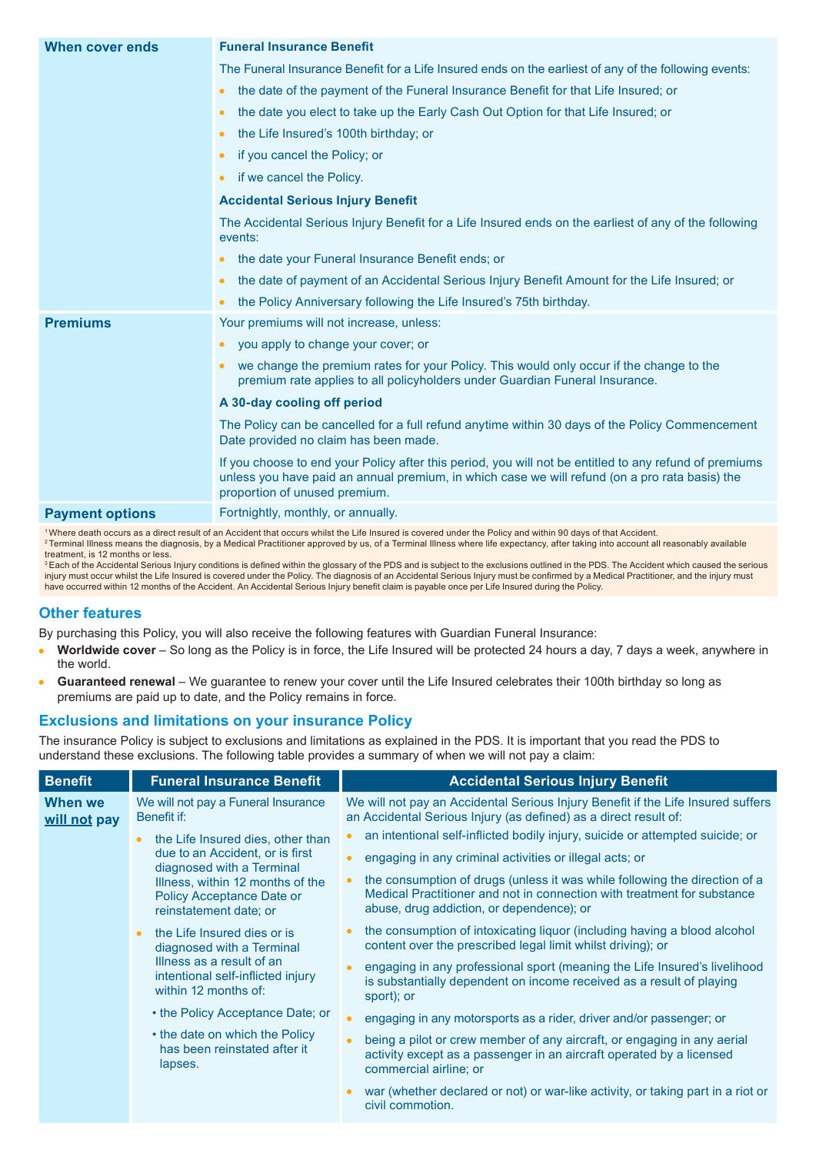| When cover ends        | <b>Funeral Insurance Benefit</b>                                                                                                                                                                                                          |
|------------------------|-------------------------------------------------------------------------------------------------------------------------------------------------------------------------------------------------------------------------------------------|
|                        | The Funeral Insurance Benefit for a Life Insured ends on the earliest of any of the following events:                                                                                                                                     |
|                        | the date of the payment of the Funeral Insurance Benefit for that Life Insured; or<br>$\bullet$                                                                                                                                           |
|                        | the date you elect to take up the Early Cash Out Option for that Life Insured; or<br>$\bullet$                                                                                                                                            |
|                        | the Life Insured's 100th birthday; or                                                                                                                                                                                                     |
|                        | if you cancel the Policy; or<br>$\bullet$                                                                                                                                                                                                 |
|                        | if we cancel the Policy.<br>$\bullet$                                                                                                                                                                                                     |
|                        | <b>Accidental Serious Injury Benefit</b>                                                                                                                                                                                                  |
|                        | The Accidental Serious Injury Benefit for a Life Insured ends on the earliest of any of the following<br>events:                                                                                                                          |
|                        | the date your Funeral Insurance Benefit ends; or                                                                                                                                                                                          |
|                        | the date of payment of an Accidental Serious Injury Benefit Amount for the Life Insured; or<br>$\bullet$                                                                                                                                  |
|                        | the Policy Anniversary following the Life Insured's 75th birthday.                                                                                                                                                                        |
| <b>Premiums</b>        | Your premiums will not increase, unless:                                                                                                                                                                                                  |
|                        | you apply to change your cover; or                                                                                                                                                                                                        |
|                        | we change the premium rates for your Policy. This would only occur if the change to the<br>premium rate applies to all policyholders under Guardian Funeral Insurance.                                                                    |
|                        | A 30-day cooling off period                                                                                                                                                                                                               |
|                        | The Policy can be cancelled for a full refund anytime within 30 days of the Policy Commencement<br>Date provided no claim has been made.                                                                                                  |
|                        | If you choose to end your Policy after this period, you will not be entitled to any refund of premiums<br>unless you have paid an annual premium, in which case we will refund (on a pro rata basis) the<br>proportion of unused premium. |
| <b>Payment options</b> | Fortnightly, monthly, or annually.                                                                                                                                                                                                        |

<sup>1</sup>Where death occurs as a direct result of an Accident that occurs whilst the Life Insured is covered under the Policy and within 90 days of that Accident. <sup>2</sup> Terminal Illness means the diagnosis, by a Medical Practitioner approved by us, of a Terminal Illness where life expectancy, after taking into account all reasonably available

treatment, is 12 months or less.

<sup>3</sup> Each of the Accidental Serious Injury conditions is defined within the glossary of the PDS and is subject to the exclusions outlined in the PDS. The Accident which caused the serious injury must occur whilst the Life Insured is covered under the Policy. The diagnosis of an Accidental Serious Injury must be confirmed by a Medical Practitioner, and the injury must<br>have occurred within 12 months of the Ac

#### **Other features**

By purchasing this Policy, you will also receive the following features with Guardian Funeral Insurance:

- **Worldwide cover** So long as the Policy is in force, the Life Insured will be protected 24 hours a day, 7 days a week, anywhere in the world.
- **Guaranteed renewal** We guarantee to renew your cover until the Life Insured celebrates their 100th birthday so long as  $\bullet$ premiums are paid up to date, and the Policy remains in force.

#### **Exclusions and limitations on your insurance Policy**

The insurance Policy is subject to exclusions and limitations as explained in the PDS. It is important that you read the PDS to understand these exclusions. The following table provides a summary of when we will not pay a claim:

| <b>Benefit</b>                 | <b>Funeral Insurance Benefit</b>                                                        | <b>Accidental Serious Injury Benefit</b>                                                                                                                                                           |
|--------------------------------|-----------------------------------------------------------------------------------------|----------------------------------------------------------------------------------------------------------------------------------------------------------------------------------------------------|
| <b>When we</b><br>will not pay | We will not pay a Funeral Insurance<br>Benefit if:                                      | We will not pay an Accidental Serious Injury Benefit if the Life Insured suffers<br>an Accidental Serious Injury (as defined) as a direct result of:                                               |
|                                | the Life Insured dies, other than                                                       | an intentional self-inflicted bodily injury, suicide or attempted suicide; or                                                                                                                      |
|                                | due to an Accident, or is first<br>diagnosed with a Terminal                            | engaging in any criminal activities or illegal acts; or<br>ó                                                                                                                                       |
|                                | Illness, within 12 months of the<br>Policy Acceptance Date or<br>reinstatement date; or | the consumption of drugs (unless it was while following the direction of a<br>Medical Practitioner and not in connection with treatment for substance<br>abuse, drug addiction, or dependence); or |
|                                | the Life Insured dies or is<br>$\bullet$<br>diagnosed with a Terminal                   | the consumption of intoxicating liquor (including having a blood alcohol<br>content over the prescribed legal limit whilst driving); or                                                            |
|                                | Illness as a result of an<br>intentional self-inflicted injury<br>within 12 months of:  | engaging in any professional sport (meaning the Life Insured's livelihood<br>is substantially dependent on income received as a result of playing<br>sport); or                                    |
|                                | • the Policy Acceptance Date; or                                                        | engaging in any motorsports as a rider, driver and/or passenger; or                                                                                                                                |
|                                | • the date on which the Policy<br>has been reinstated after it<br>lapses.               | being a pilot or crew member of any aircraft, or engaging in any aerial<br>activity except as a passenger in an aircraft operated by a licensed<br>commercial airline; or                          |
|                                |                                                                                         | war (whether declared or not) or war-like activity, or taking part in a riot or<br>civil commotion.                                                                                                |